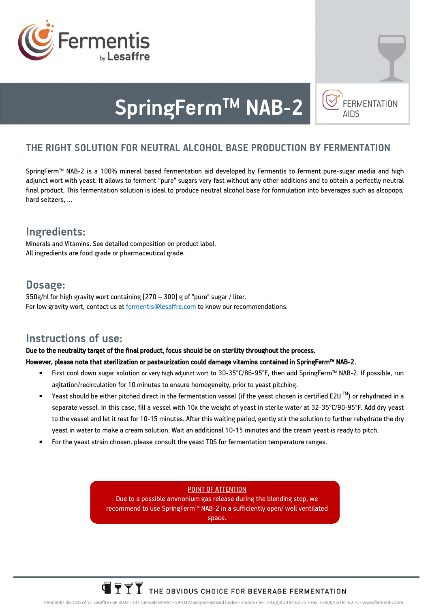



# **SpringFermTM NAB-2**

# **THE RIGHT SOLUTION FOR NEUTRAL ALCOHOL BASE PRODUCTION BY FERMENTATION**

SpringFerm™ NAB-2 is a 100% mineral based fermentation aid developed by Fermentis to ferment pure-sugar media and high adjunct wort with yeast. It allows to ferment "pure" sugars very fast without any other additions and to obtain a perfectly neutral final product. This fermentation solution is ideal to produce neutral alcohol base for formulation into beverages such as alcopops, hard seltzers, …

# **Ingredients:**

Minerals and Vitamins. See detailed composition on product label. All ingredients are food grade or pharmaceutical grade.

# **Dosage:**

550g/hl for high gravity wort containing [270 – 300] g of "pure" sugar / liter. For low gravity wort, contact us a[t fermentis@lesaffre.com](mailto:fermentis@lesaffre.com) to know our recommendations.

### **Instructions of use:**

#### Due to the neutrality target of the final product, focus should be on sterility throughout the process.

#### However, please note that sterilization or pasteurization could damage vitamins contained in SpringFerm™ NAB-2.

- First cool down sugar solution or very high adjunct wort to 30-35°C/86-95°F, then add SpringFerm™ NAB-2. If possible, run agitation/recirculation for 10 minutes to ensure homogeneity, prior to yeast pitching.
- Yeast should be either pitched direct in the fermentation vessel (if the yeast chosen is certified E2U ™) or rehydrated in a separate vessel. In this case, fill a vessel with 10x the weight of yeast in sterile water at 32-35°C/90-95°F. Add dry yeast to the vessel and let it rest for 10-15 minutes. After this waiting period, gently stir the solution to further rehydrate the dry yeast in water to make a cream solution. Wait an additional 10-15 minutes and the cream yeast is ready to pitch.
- For the yeast strain chosen, please consult the yeast TDS for fermentation temperature ranges.

#### POINT OF ATTENTION

Due to a possible ammonium gas release during the blending step, we recommend to use SpringFerm™ NAB-2 in a sufficiently open/ well ventilated space.

# $\overline{\mathbf{Y}}$   $\overline{\mathbf{Y}}$   $\overline{\mathbf{Y}}$  THE OBVIOUS CHOICE FOR BEVERAGE FERMENTATION